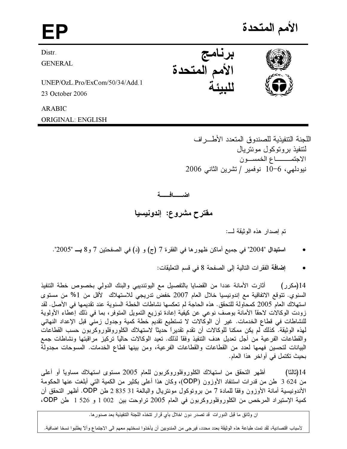الأمم المتحدة



ORIGINAL: ENGLISH

FP

اللجنة التنفيذية للصندوق المتعدد الأطـــر اف لتتفيذ بر و توكول مونتر يال الاجتمـــــاع الخمســون نيودلهي، 6−10 نوفمير / تشرين الثاني 2006

اضسافسة

مقترح مشروع: إندونيسيا

تم إصدار هذه الوثبقة لــــ:

- استبدال "2004" في جميع أماكن ظهور ها في الفقرة 7 (ج) و (د) في الصفحتين 7 و 8 بـــ "2005".
	- إ**ضافة** الفقرات التالية إلى الصفحة 8 في قسم التعليقات:

أثارت الأمانة عددا من القضايا بالتفصيل مع اليوئنديبي والبنك الدولي بخصوص خطة التنفيذ 14(مکرر) السنوي. تتوقع الاتفاقية مع إندونيسيا خلال العام 2007 خفض تدريجي للاستهلاك لأقل من 1% من مستوى استهلاك العام 2005 كمحاولة للتحقق. هذه الحاجة لم تعكسها نشاطات الخطة السنوية عند تقديمها في الأصل. لقد زودت الوكالات لاحقا الأمانة بوصف نوعى عن كيفية إعادة توزيع التمويل المتوفر ، بما في ذلك إعطاء الأولوية للنشاطات فى قطاع الخدمات. غير أن الوكالات لا تستطيع تقديم خطة كمية وجدول زمني قبل الإعداد النهائي لمهذه الوثيقة. كذلك لم يكن ممكنا للوكالات أن تقدم تقديراً حديثًا لاستهلاك الكلوروفلوروكربون حسب القطاعات والقطاعات الفرعية من أجل تعديل هدف التنفيذ وفقا لذلك. تعيد الوكالات حالياً تركيز مراقبتها ونشاطات جمع البيانات لتحسين فهمها لعدد من القطاعات والقطاعات الفرعية، ومن بينها قطاع الخدمات. المسوحات مجدولة بحيث تكتمل في أواخر هذا العام.

أظهر التحقق من استهلاك الكلوروفلوروكربون للعام 2005 مستوى استهلاك مساوياً أو أعلى 14 (ثالثا ) من 624 3 طن من قدرات استنفاد الأوزون (ODP)، وكان هذا أعلى بكثير من الكمية التي أبلغت عنها الحكومة الأندونيسية أمانة الأوزون وفقا للمادة 7 من بروتوكول مونتريال والبالغة 31 335 2 طن ODP. أظهر التحقق أن كمية الإستيراد المرخص من الكلوروفلوروكربون في العام 2005 تراوحت بين 002 و 1526 طن ODP،

ان وثائق ما قبل الدورات قد تصدر دون اخلال بأي قرار تتخذه اللجنة التنفيذية بعد صدورها.

لأسباب اقتصادية، لقد تمت طباعة هذه الوثيقة بعدد محدد، فيرجى من المندوبين أن يأخذوا نسختهم معهم الى الاجتماع وألآ يطلبوا نسخا اضافية.